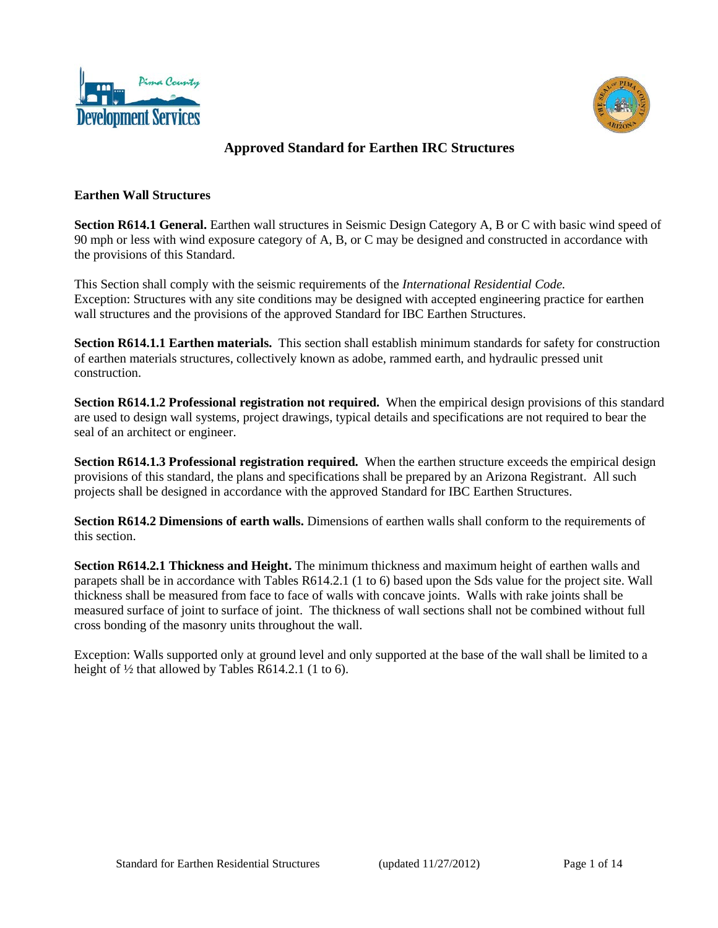



### **Approved Standard for Earthen IRC Structures**

#### **Earthen Wall Structures**

**Section R614.1 General.** Earthen wall structures in Seismic Design Category A, B or C with basic wind speed of 90 mph or less with wind exposure category of A, B, or C may be designed and constructed in accordance with the provisions of this Standard.

This Section shall comply with the seismic requirements of the *International Residential Code.* Exception: Structures with any site conditions may be designed with accepted engineering practice for earthen wall structures and the provisions of the approved Standard for IBC Earthen Structures.

**Section R614.1.1 Earthen materials.** This section shall establish minimum standards for safety for construction of earthen materials structures, collectively known as adobe, rammed earth, and hydraulic pressed unit construction.

**Section R614.1.2 Professional registration not required.** When the empirical design provisions of this standard are used to design wall systems, project drawings, typical details and specifications are not required to bear the seal of an architect or engineer.

**Section R614.1.3 Professional registration required.** When the earthen structure exceeds the empirical design provisions of this standard, the plans and specifications shall be prepared by an Arizona Registrant. All such projects shall be designed in accordance with the approved Standard for IBC Earthen Structures.

**Section R614.2 Dimensions of earth walls.** Dimensions of earthen walls shall conform to the requirements of this section.

**Section R614.2.1 Thickness and Height.** The minimum thickness and maximum height of earthen walls and parapets shall be in accordance with Tables R614.2.1 (1 to 6) based upon the Sds value for the project site. Wall thickness shall be measured from face to face of walls with concave joints. Walls with rake joints shall be measured surface of joint to surface of joint. The thickness of wall sections shall not be combined without full cross bonding of the masonry units throughout the wall.

Exception: Walls supported only at ground level and only supported at the base of the wall shall be limited to a height of  $\frac{1}{2}$  that allowed by Tables R614.2.1 (1 to 6).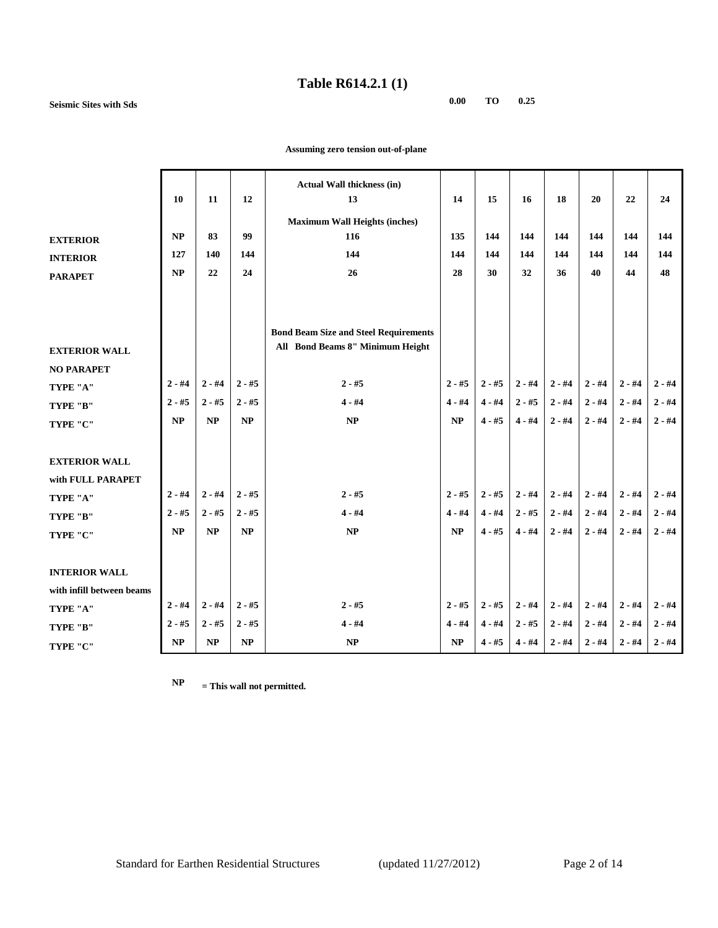### **Table R614.2.1 (1)**

**Seismic Sites with Sds 0.00 TO 0.25**

|                           | 10       | 11       | 12       | <b>Actual Wall thickness (in)</b><br>13      | 14       | 15       | 16       | 18       | 20       | 22       | 24       |
|---------------------------|----------|----------|----------|----------------------------------------------|----------|----------|----------|----------|----------|----------|----------|
|                           |          |          |          | <b>Maximum Wall Heights (inches)</b>         |          |          |          |          |          |          |          |
| <b>EXTERIOR</b>           | NP       | 83       | 99       | 116                                          | 135      | 144      | 144      | 144      | 144      | 144      | 144      |
| <b>INTERIOR</b>           | 127      | 140      | 144      | 144                                          | 144      | 144      | 144      | 144      | 144      | 144      | 144      |
| <b>PARAPET</b>            | NP       | 22       | 24       | 26                                           | 28       | 30       | 32       | 36       | 40       | 44       | 48       |
|                           |          |          |          |                                              |          |          |          |          |          |          |          |
|                           |          |          |          |                                              |          |          |          |          |          |          |          |
|                           |          |          |          | <b>Bond Beam Size and Steel Requirements</b> |          |          |          |          |          |          |          |
| <b>EXTERIOR WALL</b>      |          |          |          | All Bond Beams 8" Minimum Height             |          |          |          |          |          |          |          |
| <b>NO PARAPET</b>         |          |          |          |                                              |          |          |          |          |          |          |          |
| TYPE "A"                  | $2 - #4$ | $2 - #4$ | $2 - #5$ | $2 - #5$                                     | $2 - #5$ | $2 - #5$ | $2 - #4$ | $2 - #4$ | $2 - #4$ | $2 - #4$ | $2 - #4$ |
| TYPE "B"                  | $2 - #5$ | $2 - #5$ | $2 - #5$ | $4 - #4$                                     | $4 - #4$ | $4 - #4$ | $2 - #5$ | $2 - #4$ | $2 - #4$ | $2 - #4$ | $2 - #4$ |
| TYPE "C"                  | NP       | NP       | NP       | NP                                           | NP       | $4 - #5$ | $4 - #4$ | $2 - #4$ | $2 - #4$ | $2 - #4$ | $2 - #4$ |
|                           |          |          |          |                                              |          |          |          |          |          |          |          |
| <b>EXTERIOR WALL</b>      |          |          |          |                                              |          |          |          |          |          |          |          |
|                           |          |          |          |                                              |          |          |          |          |          |          |          |
| with FULL PARAPET         | $2 - #4$ | $2 - #4$ | $2 - #5$ | $2 - #5$                                     | $2 - #5$ | $2 - #5$ | $2 - #4$ | $2 - #4$ | $2 - #4$ | $2 - #4$ | $2 - #4$ |
| TYPE "A"                  | $2 - #5$ | $2 - #5$ | $2 - #5$ | $4 - #4$                                     | $4 - #4$ | $4 - #4$ | $2 - #5$ | $2 - #4$ | $2 - #4$ | $2 - #4$ | $2 - #4$ |
| TYPE "B"                  | NP       | NP       | NP       | NP                                           | NP       | $4 - #5$ | $4 - #4$ | $2 - #4$ | $2 - #4$ | $2 - #4$ | $2 - #4$ |
| TYPE "C"                  |          |          |          |                                              |          |          |          |          |          |          |          |
|                           |          |          |          |                                              |          |          |          |          |          |          |          |
| <b>INTERIOR WALL</b>      |          |          |          |                                              |          |          |          |          |          |          |          |
| with infill between beams |          |          |          |                                              |          |          |          |          |          |          |          |
| TYPE "A"                  | $2 - #4$ | $2 - #4$ | $2 - #5$ | $2 - #5$                                     | $2 - #5$ | $2 - #5$ | $2 - #4$ | $2 - #4$ | $2 - #4$ | $2 - #4$ | $2 - #4$ |
| TYPE "B"                  | $2 - #5$ | $2 - #5$ | $2 - #5$ | $4 - #4$                                     | $4 - #4$ | $4 - #4$ | $2 - #5$ | $2 - #4$ | $2 - #4$ | $2 - #4$ | $2 - #4$ |
| TYPE "C"                  | NP       | NP       | NP       | $\bf NP$                                     | NP       | $4 - #5$ | $4 - #4$ | $2 - #4$ | $2 - #4$ | $2 - #4$ | $2 - #4$ |

 **Assuming zero tension out-of-plane**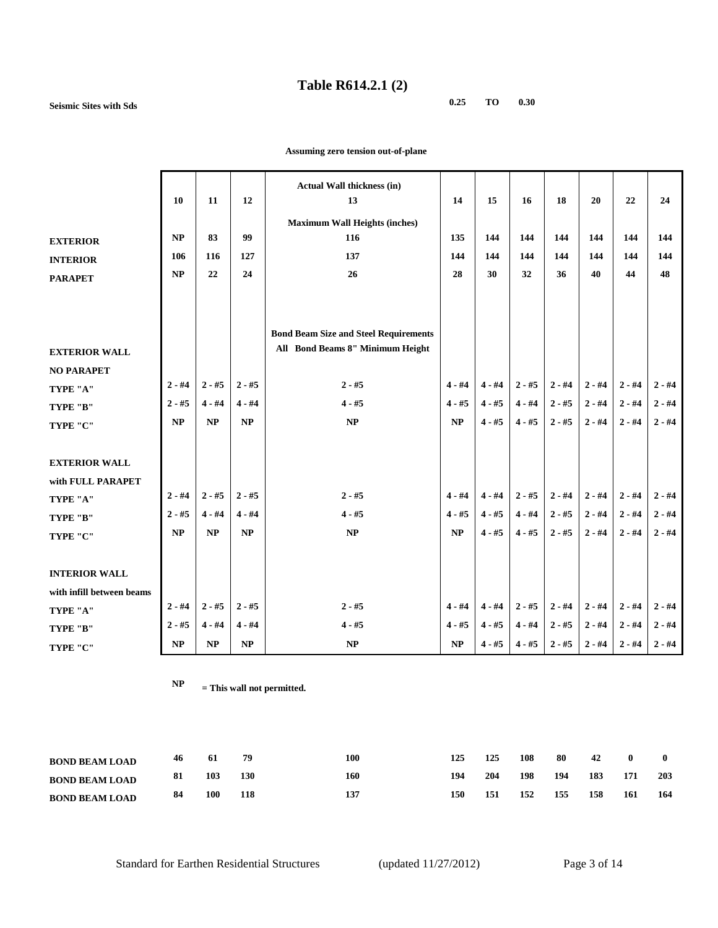## **Table R614.2.1 (2)**

**Seismic Sites with Sds 0.25 TO 0.30**

|                           | 10        | 11       | 12       | <b>Actual Wall thickness (in)</b><br>13                                          | 14       | 15       | 16       | 18       | 20       | 22       | 24       |
|---------------------------|-----------|----------|----------|----------------------------------------------------------------------------------|----------|----------|----------|----------|----------|----------|----------|
|                           |           |          |          | <b>Maximum Wall Heights (inches)</b>                                             |          |          |          |          |          |          |          |
| <b>EXTERIOR</b>           | <b>NP</b> | 83       | 99       | 116                                                                              | 135      | 144      | 144      | 144      | 144      | 144      | 144      |
| <b>INTERIOR</b>           | 106       | 116      | 127      | 137                                                                              | 144      | 144      | 144      | 144      | 144      | 144      | 144      |
| <b>PARAPET</b>            | <b>NP</b> | 22       | 24       | 26                                                                               | 28       | 30       | 32       | 36       | 40       | 44       | 48       |
| <b>EXTERIOR WALL</b>      |           |          |          | <b>Bond Beam Size and Steel Requirements</b><br>All Bond Beams 8" Minimum Height |          |          |          |          |          |          |          |
| <b>NO PARAPET</b>         | $2 - #4$  | $2 - #5$ | $2 - #5$ | $2 - #5$                                                                         | $4 - #4$ | $4 - #4$ | $2 - #5$ | $2 - #4$ | $2 - #4$ | $2 - #4$ | $2 - #4$ |
| TYPE "A"                  | $2 - #5$  | $4 - #4$ | $4 - #4$ | $4 - #5$                                                                         | $4 - #5$ | $4 - #5$ | $4 - #4$ | $2 - #5$ | $2 - #4$ | $2 - #4$ | $2 - #4$ |
| TYPE "B"                  |           |          |          |                                                                                  |          |          |          |          |          |          |          |
| TYPE "C"                  | <b>NP</b> | NP       | NP       | $\bf NP$                                                                         | NP       | $4 - #5$ | $4 - #5$ | $2 - #5$ | $2 - #4$ | $2 - #4$ | $2 - #4$ |
|                           |           |          |          |                                                                                  |          |          |          |          |          |          |          |
| <b>EXTERIOR WALL</b>      |           |          |          |                                                                                  |          |          |          |          |          |          |          |
| with FULL PARAPET         |           |          |          |                                                                                  |          |          |          |          |          |          |          |
| TYPE "A"                  | $2 - #4$  | $2 - #5$ | $2 - #5$ | $2 - #5$                                                                         | $4 - #4$ | $4 - #4$ | $2 - #5$ | $2 - #4$ | $2 - #4$ | $2 - #4$ | $2 - #4$ |
| TYPE "B"                  | $2 - #5$  | $4 - #4$ | $4 - #4$ | $4 - #5$                                                                         | $4 - #5$ | $4 - #5$ | $4 - #4$ | $2 - #5$ | $2 - #4$ | $2 - #4$ | $2 - #4$ |
| TYPE "C"                  | <b>NP</b> | NP       | NP       | NP                                                                               | NP       | $4 - #5$ | $4 - #5$ | $2 - #5$ | $2 - #4$ | $2 - #4$ | $2 - #4$ |
|                           |           |          |          |                                                                                  |          |          |          |          |          |          |          |
| <b>INTERIOR WALL</b>      |           |          |          |                                                                                  |          |          |          |          |          |          |          |
| with infill between beams |           |          |          |                                                                                  |          |          |          |          |          |          |          |
| TYPE "A"                  | $2 - #4$  | $2 - #5$ | $2 - #5$ | $2 - #5$                                                                         | $4 - #4$ | $4 - #4$ | $2 - #5$ | $2 - #4$ | $2 - #4$ | $2 - #4$ | $2 - #4$ |
| TYPE "B"                  | $2 - #5$  | $4 - #4$ | $4 - #4$ | $4 - #5$                                                                         | $4 - #5$ | $4 - #5$ | $4 - #4$ | $2 - #5$ | $2 - #4$ | $2 - #4$ | $2 - #4$ |
| TYPE "C"                  | NP        | $\bf NP$ | $\bf NP$ | $\bf NP$                                                                         | $\bf NP$ | $4 - #5$ | $4 - #5$ | $2 - #5$ | $2 - #4$ | $2 - #4$ | $2 - #4$ |

 **Assuming zero tension out-of-plane**

| <b>BOND BEAM LOAD</b> | 46  | -61 | 79  | 100 | 125 | 125 | 108 | 80  | 42  | $\bf{0}$ |     |
|-----------------------|-----|-----|-----|-----|-----|-----|-----|-----|-----|----------|-----|
| <b>BOND BEAM LOAD</b> | 81  | 103 | 130 | 160 | 194 | 204 | 198 | 194 | 183 | 171      | 203 |
| <b>BOND BEAM LOAD</b> | -84 | 100 | 118 | 137 | 150 | 151 | 152 | 155 | 158 | 161      | 164 |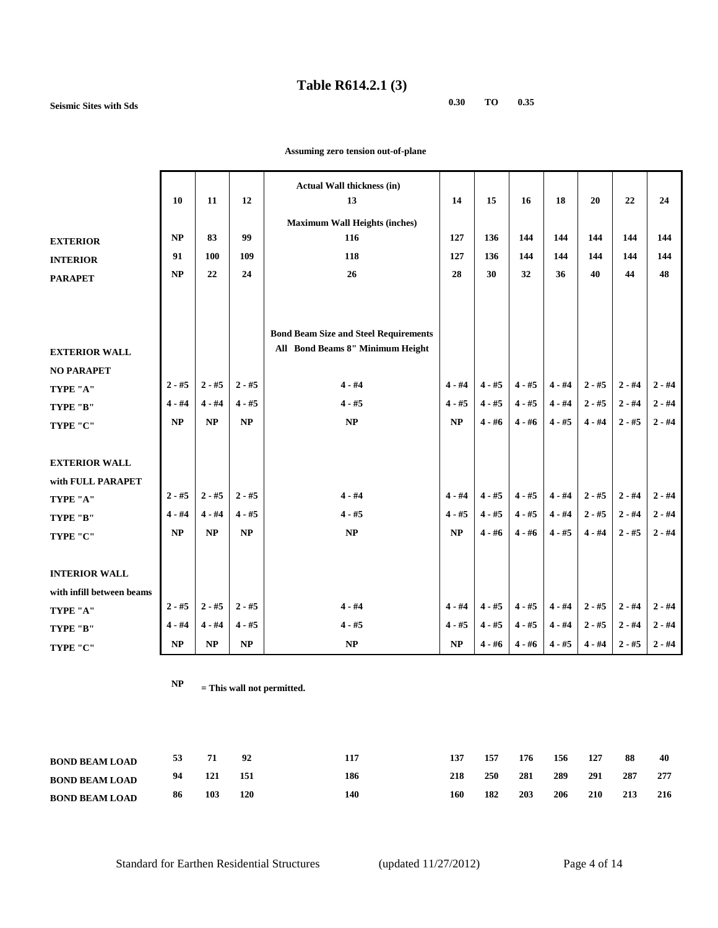### **Table R614.2.1 (3)**

**Seismic Sites with Sds 0.30 TO 0.35**

|                           |          |          |          | <b>Actual Wall thickness (in)</b>            |          |          |          |          |          |          |          |
|---------------------------|----------|----------|----------|----------------------------------------------|----------|----------|----------|----------|----------|----------|----------|
|                           | 10       | 11       | 12       | 13                                           | 14       | 15       | 16       | 18       | 20       | 22       | 24       |
|                           |          |          |          | <b>Maximum Wall Heights (inches)</b>         |          |          |          |          |          |          |          |
| <b>EXTERIOR</b>           | NP       | 83       | 99       | 116                                          | 127      | 136      | 144      | 144      | 144      | 144      | 144      |
| <b>INTERIOR</b>           | 91       | 100      | 109      | 118                                          | 127      | 136      | 144      | 144      | 144      | 144      | 144      |
| <b>PARAPET</b>            | NP       | 22       | 24       | 26                                           | 28       | 30       | 32       | 36       | 40       | 44       | 48       |
|                           |          |          |          |                                              |          |          |          |          |          |          |          |
|                           |          |          |          |                                              |          |          |          |          |          |          |          |
|                           |          |          |          | <b>Bond Beam Size and Steel Requirements</b> |          |          |          |          |          |          |          |
| <b>EXTERIOR WALL</b>      |          |          |          | All Bond Beams 8" Minimum Height             |          |          |          |          |          |          |          |
| <b>NO PARAPET</b>         |          |          |          |                                              |          |          |          |          |          |          |          |
| TYPE "A"                  | $2 - #5$ | $2 - #5$ | $2 - #5$ | $4 - #4$                                     | $4 - #4$ | $4 - #5$ | $4 - #5$ | $4 - #4$ | $2 - #5$ | $2 - #4$ | $2 - #4$ |
| TYPE "B"                  | $4 - #4$ | $4 - #4$ | $4 - #5$ | $4 - #5$                                     | $4 - #5$ | $4 - #5$ | $4 - #5$ | $4 - #4$ | $2 - #5$ | $2 - #4$ | $2 - #4$ |
| TYPE "C"                  | NP       | NP       | NP       | NP                                           | NP       | $4 - #6$ | $4 - #6$ | $4 - #5$ | $4 - #4$ | $2 - #5$ | $2 - #4$ |
|                           |          |          |          |                                              |          |          |          |          |          |          |          |
| <b>EXTERIOR WALL</b>      |          |          |          |                                              |          |          |          |          |          |          |          |
| with FULL PARAPET         |          |          |          |                                              |          |          |          |          |          |          |          |
| TYPE "A"                  | $2 - #5$ | $2 - #5$ | $2 - #5$ | $4 - #4$                                     | $4 - #4$ | $4 - #5$ | $4 - #5$ | $4 - #4$ | $2 - #5$ | $2 - #4$ | $2 - #4$ |
| TYPE "B"                  | $4 - #4$ | $4 - #4$ | $4 - #5$ | $4 - #5$                                     | $4 - #5$ | $4 - #5$ | $4 - #5$ | $4 - #4$ | $2 - #5$ | $2 - #4$ | $2 - #4$ |
| TYPE "C"                  | NP       | NP       | NP       | NP                                           | NP       | $4 - #6$ | $4 - #6$ | $4 - #5$ | $4 - #4$ | $2 - #5$ | $2 - #4$ |
|                           |          |          |          |                                              |          |          |          |          |          |          |          |
| <b>INTERIOR WALL</b>      |          |          |          |                                              |          |          |          |          |          |          |          |
| with infill between beams |          |          |          |                                              |          |          |          |          |          |          |          |
| TYPE "A"                  | $2 - #5$ | $2 - #5$ | $2 - #5$ | $4 - #4$                                     | $4 - #4$ | $4 - #5$ | $4 - #5$ | $4 - #4$ | $2 - #5$ | $2 - #4$ | $2 - #4$ |
| TYPE "B"                  | $4 - #4$ | $4 - #4$ | $4 - #5$ | $4 - #5$                                     | $4 - #5$ | $4 - #5$ | $4 - #5$ | $4 - #4$ | $2 - #5$ | $2 - #4$ | $2 - #4$ |
| TYPE "C"                  | $\bf NP$ | NP       | $\bf NP$ | $\bf NP$                                     | $\bf NP$ | $4 - #6$ | $4 - #6$ | $4 - #5$ | $4 - #4$ | $2 - #5$ | $2 - #4$ |

 **Assuming zero tension out-of-plane**

| <b>BOND BEAM LOAD</b> | 53  |     | 92  | 117 | 137 | 157 | 176 | 156 | 127 | -88 | 40  |
|-----------------------|-----|-----|-----|-----|-----|-----|-----|-----|-----|-----|-----|
| <b>BOND BEAM LOAD</b> | 94  |     | 151 | 186 | 218 | 250 | 281 | 289 | 291 | 287 | 277 |
| <b>BOND BEAM LOAD</b> | -86 | 103 | 120 | 140 | 160 | 182 | 203 | 206 | 210 | 213 | 216 |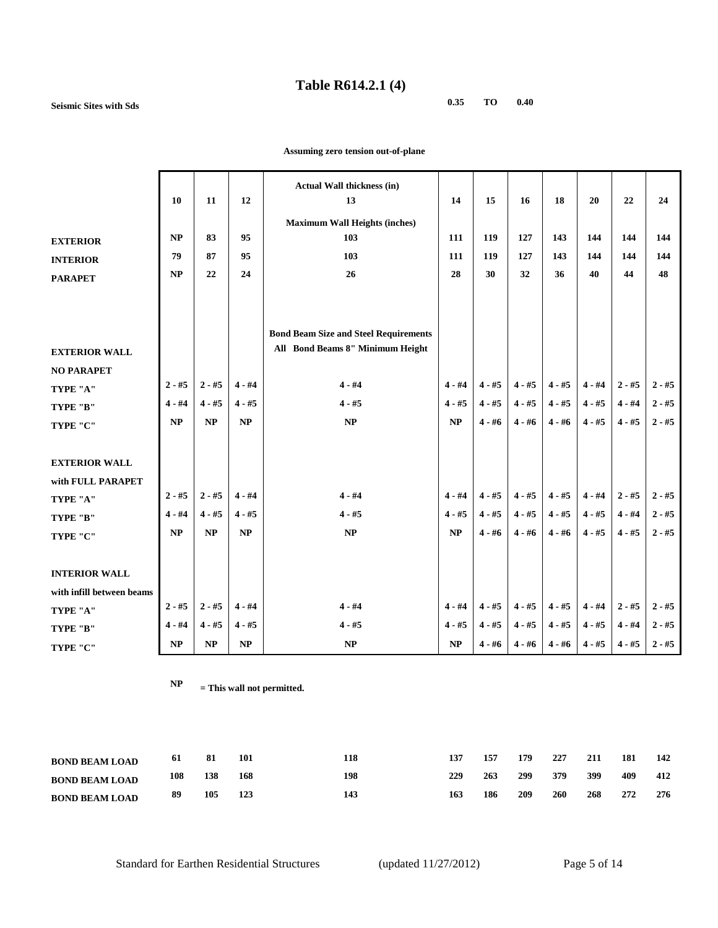#### **Table R614.2.1 (4)**

**Seismic Sites with Sds 0.35 TO 0.40**

|                           |           |          |          | <b>Actual Wall thickness (in)</b>            |          |          |          |          |          |          |          |
|---------------------------|-----------|----------|----------|----------------------------------------------|----------|----------|----------|----------|----------|----------|----------|
|                           | 10        | 11       | 12       | 13                                           | 14       | 15       | 16       | 18       | 20       | 22       | 24       |
|                           |           |          |          | <b>Maximum Wall Heights (inches)</b>         |          |          |          |          |          |          |          |
| <b>EXTERIOR</b>           | NP        | 83       | 95       | 103                                          | 111      | 119      | 127      | 143      | 144      | 144      | 144      |
| <b>INTERIOR</b>           | 79        | 87       | 95       | 103                                          | 111      | 119      | 127      | 143      | 144      | 144      | 144      |
| <b>PARAPET</b>            | NP        | 22       | 24       | 26                                           | 28       | 30       | 32       | 36       | 40       | 44       | 48       |
|                           |           |          |          |                                              |          |          |          |          |          |          |          |
|                           |           |          |          |                                              |          |          |          |          |          |          |          |
|                           |           |          |          | <b>Bond Beam Size and Steel Requirements</b> |          |          |          |          |          |          |          |
| <b>EXTERIOR WALL</b>      |           |          |          | All Bond Beams 8" Minimum Height             |          |          |          |          |          |          |          |
| <b>NO PARAPET</b>         |           |          |          |                                              |          |          |          |          |          |          |          |
| TYPE "A"                  | $2 - #5$  | $2 - #5$ | $4 - #4$ | $4 - #4$                                     | $4 - #4$ | $4 - #5$ | $4 - #5$ | $4 - #5$ | $4 - #4$ | $2 - #5$ | $2 - #5$ |
| TYPE "B"                  | $4 - #4$  | $4 - #5$ | $4 - #5$ | $4 - #5$                                     | $4 - #5$ | $4 - #5$ | $4 - #5$ | $4 - #5$ | $4 - #5$ | $4 - #4$ | $2 - #5$ |
| TYPE "C"                  | <b>NP</b> | NP       | NP       | NP                                           | NP       | $4 - #6$ | $4 - #6$ | $4 - #6$ | $4 - #5$ | $4 - #5$ | $2 - #5$ |
|                           |           |          |          |                                              |          |          |          |          |          |          |          |
| <b>EXTERIOR WALL</b>      |           |          |          |                                              |          |          |          |          |          |          |          |
| with FULL PARAPET         |           |          |          |                                              |          |          |          |          |          |          |          |
| TYPE "A"                  | $2 - #5$  | $2 - #5$ | $4 - #4$ | $4 - #4$                                     | $4 - #4$ | $4 - #5$ | $4 - #5$ | $4 - #5$ | $4 - #4$ | $2 - #5$ | $2 - #5$ |
| TYPE "B"                  | $4 - #4$  | $4 - #5$ | $4 - #5$ | $4 - #5$                                     | $4 - #5$ | $4 - #5$ | $4 - #5$ | $4 - #5$ | $4 - #5$ | $4 - #4$ | $2 - #5$ |
| TYPE "C"                  | NP        | NP       | NP       | NP                                           | NP       | $4 - #6$ | $4 - #6$ | $4 - #6$ | $4 - #5$ | $4 - #5$ | $2 - #5$ |
|                           |           |          |          |                                              |          |          |          |          |          |          |          |
| <b>INTERIOR WALL</b>      |           |          |          |                                              |          |          |          |          |          |          |          |
| with infill between beams |           |          |          |                                              |          |          |          |          |          |          |          |
| TYPE "A"                  | $2 - #5$  | $2 - #5$ | $4 - #4$ | $4 - #4$                                     | $4 - #4$ | $4 - #5$ | $4 - #5$ | $4 - #5$ | $4 - #4$ | $2 - #5$ | $2 - #5$ |
| TYPE "B"                  | $4 - #4$  | $4 - #5$ | $4 - #5$ | $4 - #5$                                     | $4 - #5$ | $4 - #5$ | $4 - #5$ | $4 - #5$ | $4 - #5$ | $4 - #4$ | $2 - #5$ |
| TYPE "C"                  | NP        | $\bf NP$ | $\bf NP$ | $\bf NP$                                     | NP       | $4 - #6$ | $4 - #6$ | $4 - #6$ | $4 - #5$ | $4 - #5$ | $2 - #5$ |

 **Assuming zero tension out-of-plane**

| <b>BOND BEAM LOAD</b> | -61 | 81  | 101 | 118 | 137 | 157 | 179 | 227 | 211 | 181 | 142 |
|-----------------------|-----|-----|-----|-----|-----|-----|-----|-----|-----|-----|-----|
| <b>BOND BEAM LOAD</b> | 108 | 138 | 168 | 198 | 229 | 263 | 299 | 379 | 399 | 409 | 412 |
| <b>BOND BEAM LOAD</b> | 89  | 105 | 123 | 143 | 163 | 186 | 209 | 260 | 268 | 272 | 276 |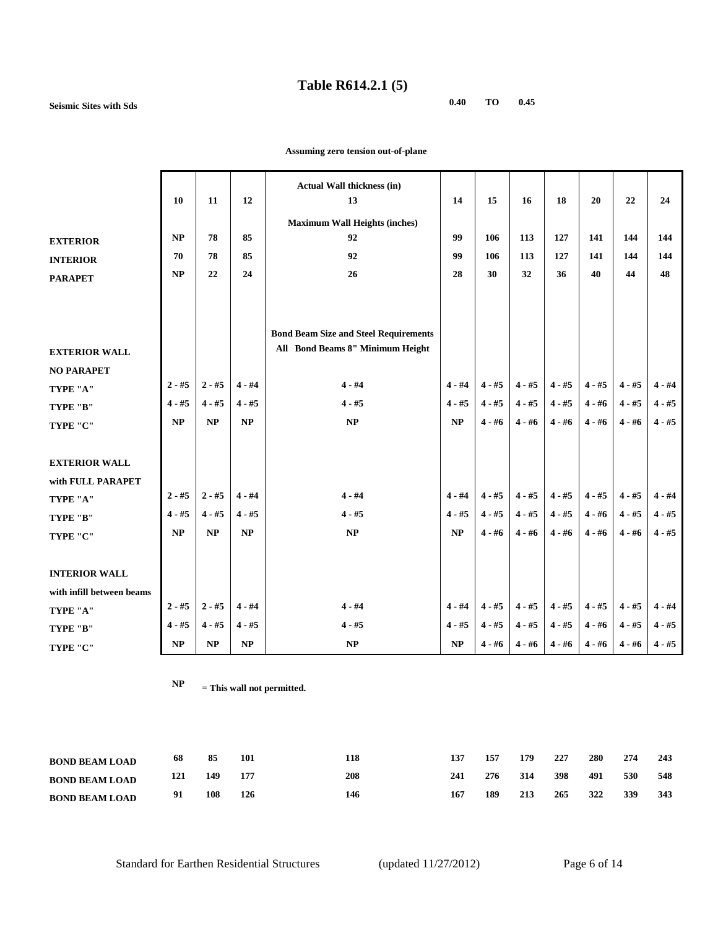## **Table R614.2.1 (5)**

**Seismic Sites with Sds 0.40 TO 0.45**

|                           | 10        | 11       | 12       | <b>Actual Wall thickness (in)</b><br>13      | 14       | 15       | 16       | 18       | 20       | 22       | 24       |
|---------------------------|-----------|----------|----------|----------------------------------------------|----------|----------|----------|----------|----------|----------|----------|
|                           |           |          |          | <b>Maximum Wall Heights (inches)</b>         |          |          |          |          |          |          |          |
| <b>EXTERIOR</b>           | <b>NP</b> | 78       | 85       | 92                                           | 99       | 106      | 113      | 127      | 141      | 144      | 144      |
| <b>INTERIOR</b>           | 70        | 78       | 85       | 92                                           | 99       | 106      | 113      | 127      | 141      | 144      | 144      |
| <b>PARAPET</b>            | NP        | 22       | 24       | 26                                           | 28       | 30       | 32       | 36       | 40       | 44       | 48       |
|                           |           |          |          |                                              |          |          |          |          |          |          |          |
|                           |           |          |          |                                              |          |          |          |          |          |          |          |
|                           |           |          |          | <b>Bond Beam Size and Steel Requirements</b> |          |          |          |          |          |          |          |
| <b>EXTERIOR WALL</b>      |           |          |          | All Bond Beams 8" Minimum Height             |          |          |          |          |          |          |          |
| <b>NO PARAPET</b>         |           |          |          |                                              |          |          |          |          |          |          |          |
| TYPE "A"                  | $2 - #5$  | $2 - #5$ | $4 - #4$ | $4 - #4$                                     | $4 - #4$ | $4 - #5$ | $4 - #5$ | $4 - #5$ | $4 - #5$ | $4 - #5$ | $4 - #4$ |
| TYPE "B"                  | $4 - #5$  | $4 - #5$ | $4 - #5$ | $4 - #5$                                     | $4 - #5$ | $4 - #5$ | $4 - #5$ | $4 - #5$ | $4 - #6$ | $4 - #5$ | $4 - #5$ |
| TYPE "C"                  | NP        | NP       | NP       | NP                                           | NP       | $4 - #6$ | $4 - #6$ | $4 - #6$ | $4 - #6$ | $4 - #6$ | $4 - #5$ |
|                           |           |          |          |                                              |          |          |          |          |          |          |          |
| <b>EXTERIOR WALL</b>      |           |          |          |                                              |          |          |          |          |          |          |          |
| with FULL PARAPET         |           |          |          |                                              |          |          |          |          |          |          |          |
| TYPE "A"                  | $2 - #5$  | $2 - #5$ | $4 - #4$ | $4 - #4$                                     | $4 - #4$ | $4 - #5$ | $4 - #5$ | $4 - #5$ | $4 - #5$ | $4 - #5$ | $4 - #4$ |
| TYPE "B"                  | $4 - #5$  | $4 - #5$ | $4 - #5$ | $4 - #5$                                     | $4 - #5$ | $4 - #5$ | $4 - #5$ | $4 - #5$ | $4 - #6$ | $4 - #5$ | $4 - #5$ |
| TYPE "C"                  | NP        | NP       | NP       | <b>NP</b>                                    | NP       | $4 - #6$ | $4 - #6$ | $4 - #6$ | $4 - #6$ | $4 - #6$ | $4 - #5$ |
|                           |           |          |          |                                              |          |          |          |          |          |          |          |
| <b>INTERIOR WALL</b>      |           |          |          |                                              |          |          |          |          |          |          |          |
| with infill between beams |           |          |          |                                              |          |          |          |          |          |          |          |
| TYPE "A"                  | $2 - #5$  | $2 - #5$ | $4 - #4$ | $4 - #4$                                     | $4 - #4$ | $4 - #5$ | $4 - #5$ | $4 - #5$ | $4 - #5$ | $4 - #5$ | $4 - #4$ |
| TYPE "B"                  | $4 - #5$  | $4 - #5$ | $4 - #5$ | $4 - #5$                                     | $4 - #5$ | $4 - #5$ | $4 - #5$ | $4 - #5$ | $4 - #6$ | $4 - #5$ | $4 - #5$ |
| TYPE "C"                  | NP        | NP       | NP       | NP                                           | NP       | $4 - #6$ | $4 - #6$ | $4 - #6$ | $4 - #6$ | $4 - #6$ | $4 - #5$ |
|                           |           |          |          |                                              |          |          |          |          |          |          |          |

 **Assuming zero tension out-of-plane**

| <b>BOND BEAM LOAD</b> | 68  | 85  | 101 | 118 | 137 | 157 | 179 | 227 | 280 | 274 | 243 |
|-----------------------|-----|-----|-----|-----|-----|-----|-----|-----|-----|-----|-----|
| <b>BOND BEAM LOAD</b> | 121 | 149 |     | 208 | 241 | 276 | 314 | 398 | 491 | 530 | 548 |
| <b>BOND BEAM LOAD</b> | 91  | 108 | 126 | 146 | 167 | 189 | 213 | 265 | 322 | 339 | 343 |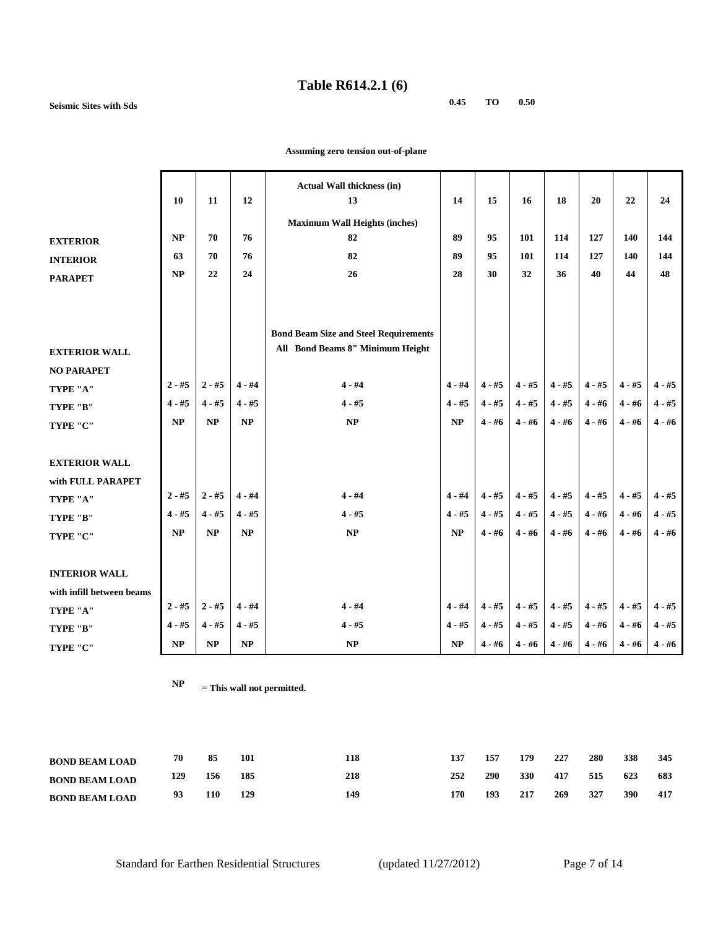### **Table R614.2.1 (6)**

**Seismic Sites with Sds 0.45 TO 0.50**

|                           | 10       | 11       | 12       | <b>Actual Wall thickness (in)</b><br>13      | 14       | 15       | 16       | 18       | 20       | 22       | 24       |
|---------------------------|----------|----------|----------|----------------------------------------------|----------|----------|----------|----------|----------|----------|----------|
|                           |          |          |          | <b>Maximum Wall Heights (inches)</b>         |          |          |          |          |          |          |          |
| <b>EXTERIOR</b>           | NP       | 70       | 76       | 82                                           | 89       | 95       | 101      | 114      | 127      | 140      | 144      |
| <b>INTERIOR</b>           | 63       | 70       | 76       | 82                                           | 89       | 95       | 101      | 114      | 127      | 140      | 144      |
| <b>PARAPET</b>            | NP       | 22       | 24       | 26                                           | 28       | 30       | 32       | 36       | 40       | 44       | 48       |
|                           |          |          |          |                                              |          |          |          |          |          |          |          |
|                           |          |          |          |                                              |          |          |          |          |          |          |          |
|                           |          |          |          | <b>Bond Beam Size and Steel Requirements</b> |          |          |          |          |          |          |          |
| <b>EXTERIOR WALL</b>      |          |          |          | All Bond Beams 8" Minimum Height             |          |          |          |          |          |          |          |
| <b>NO PARAPET</b>         |          |          |          |                                              |          |          |          |          |          |          |          |
| TYPE "A"                  | $2 - #5$ | $2 - #5$ | $4 - #4$ | $4 - #4$                                     | $4 - #4$ | $4 - #5$ | $4 - #5$ | $4 - #5$ | $4 - #5$ | $4 - #5$ | $4 - #5$ |
| TYPE "B"                  | $4 - #5$ | $4 - #5$ | $4 - #5$ | $4 - #5$                                     | $4 - #5$ | $4 - #5$ | $4 - #5$ | $4 - #5$ | $4 - #6$ | $4 - #6$ | $4 - #5$ |
| TYPE "C"                  | NP       | NP       | NP       | $\bf NP$                                     | NP       | $4 - #6$ | $4 - #6$ | $4 - #6$ | $4 - #6$ | $4 - #6$ | $4 - #6$ |
|                           |          |          |          |                                              |          |          |          |          |          |          |          |
| <b>EXTERIOR WALL</b>      |          |          |          |                                              |          |          |          |          |          |          |          |
| with FULL PARAPET         |          |          |          |                                              |          |          |          |          |          |          |          |
| TYPE "A"                  | $2 - #5$ | $2 - #5$ | $4 - #4$ | $4 - #4$                                     | $4 - #4$ | $4 - #5$ | $4 - #5$ | $4 - #5$ | $4 - #5$ | $4 - #5$ | $4 - #5$ |
| TYPE "B"                  | $4 - #5$ | $4 - #5$ | $4 - #5$ | $4 - #5$                                     | $4 - #5$ | $4 - #5$ | $4 - #5$ | $4 - #5$ | $4 - #6$ | $4 - #6$ | $4 - #5$ |
| TYPE "C"                  | NP       | NP       | NP       | NP                                           | NP       | $4 - #6$ | $4 - #6$ | $4 - #6$ | $4 - #6$ | $4 - #6$ | $4 - #6$ |
|                           |          |          |          |                                              |          |          |          |          |          |          |          |
| <b>INTERIOR WALL</b>      |          |          |          |                                              |          |          |          |          |          |          |          |
| with infill between beams |          |          |          |                                              |          |          |          |          |          |          |          |
| TYPE "A"                  | $2 - #5$ | $2 - #5$ | $4 - #4$ | $4 - #4$                                     | $4 - #4$ | $4 - #5$ | $4 - #5$ | $4 - #5$ | $4 - #5$ | $4 - #5$ | $4 - #5$ |
| TYPE "B"                  | $4 - #5$ | $4 - #5$ | $4 - #5$ | $4 - #5$                                     | $4 - #5$ | $4 - #5$ | $4 - #5$ | $4 - #5$ | $4 - #6$ | $4 - #6$ | $4 - #5$ |
| TYPE "C"                  | $\bf NP$ | $\bf NP$ | $\bf NP$ | $\ensuremath{\mathbf{NP}}\xspace$            | $\bf NP$ | $4 - #6$ | $4 - #6$ | $4 - #6$ | $4 - #6$ | $4 - #6$ | $4 - #6$ |

 **Assuming zero tension out-of-plane**

| <b>BOND BEAM LOAD</b> | 70  | 85  | 101 | 118 | 137 | 157 | 179        | 227 | 280 | 338 | 345 |
|-----------------------|-----|-----|-----|-----|-----|-----|------------|-----|-----|-----|-----|
| <b>BOND BEAM LOAD</b> | 129 | 156 | 185 | 218 | 252 | 290 | <b>330</b> | 417 | 515 | 623 | 683 |
| <b>BOND BEAM LOAD</b> | 93  | 110 | 129 | 149 | 170 | 193 | 217        | 269 | 327 | 390 | 417 |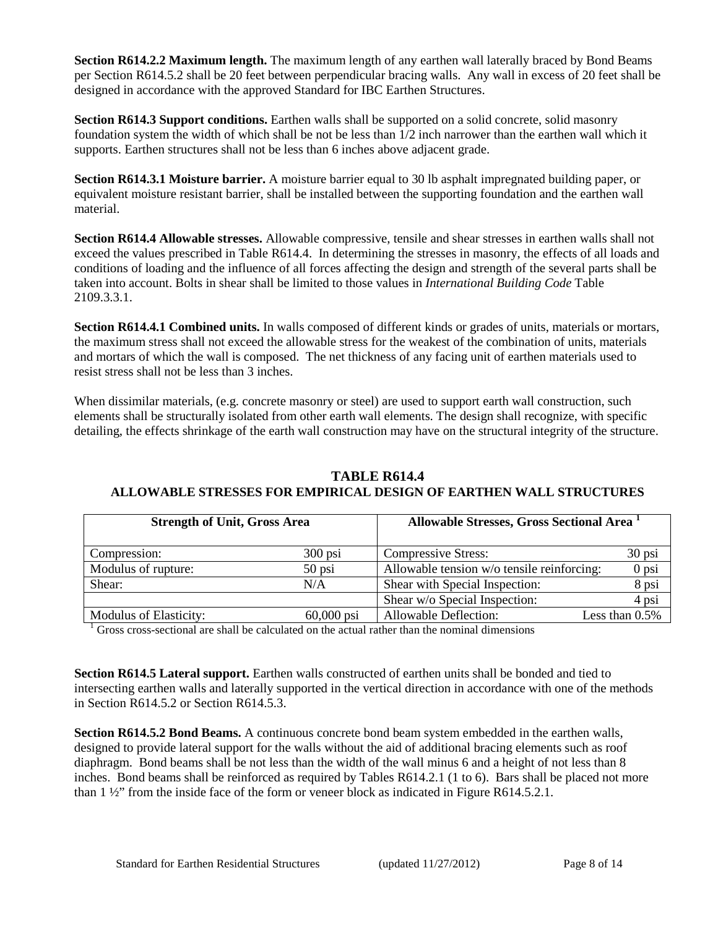**Section R614.2.2 Maximum length.** The maximum length of any earthen wall laterally braced by Bond Beams per Section R614.5.2 shall be 20 feet between perpendicular bracing walls. Any wall in excess of 20 feet shall be designed in accordance with the approved Standard for IBC Earthen Structures.

**Section R614.3 Support conditions.** Earthen walls shall be supported on a solid concrete, solid masonry foundation system the width of which shall be not be less than 1/2 inch narrower than the earthen wall which it supports. Earthen structures shall not be less than 6 inches above adjacent grade.

**Section R614.3.1 Moisture barrier.** A moisture barrier equal to 30 lb asphalt impregnated building paper, or equivalent moisture resistant barrier, shall be installed between the supporting foundation and the earthen wall material.

**Section R614.4 Allowable stresses.** Allowable compressive, tensile and shear stresses in earthen walls shall not exceed the values prescribed in Table R614.4. In determining the stresses in masonry, the effects of all loads and conditions of loading and the influence of all forces affecting the design and strength of the several parts shall be taken into account. Bolts in shear shall be limited to those values in *International Building Code* Table 2109.3.3.1.

**Section R614.4.1 Combined units.** In walls composed of different kinds or grades of units, materials or mortars, the maximum stress shall not exceed the allowable stress for the weakest of the combination of units, materials and mortars of which the wall is composed. The net thickness of any facing unit of earthen materials used to resist stress shall not be less than 3 inches.

When dissimilar materials, (e.g. concrete masonry or steel) are used to support earth wall construction, such elements shall be structurally isolated from other earth wall elements. The design shall recognize, with specific detailing, the effects shrinkage of the earth wall construction may have on the structural integrity of the structure.

| <b>Strength of Unit, Gross Area</b> |              | Allowable Stresses, Gross Sectional Area 1 |                   |
|-------------------------------------|--------------|--------------------------------------------|-------------------|
| Compression:                        | $300$ psi    | <b>Compressive Stress:</b>                 | $30$ psi          |
| Modulus of rupture:                 | $50$ psi     | Allowable tension w/o tensile reinforcing: | $0$ psi           |
| Shear:                              | N/A          | Shear with Special Inspection:             | 8 psi             |
|                                     |              | Shear w/o Special Inspection:              | 4 psi             |
| Modulus of Elasticity:              | $60,000$ psi | Allowable Deflection:                      | Less than $0.5\%$ |

# **TABLE R614.4 ALLOWABLE STRESSES FOR EMPIRICAL DESIGN OF EARTHEN WALL STRUCTURES**

 $1$  Gross cross-sectional are shall be calculated on the actual rather than the nominal dimensions

**Section R614.5 Lateral support.** Earthen walls constructed of earthen units shall be bonded and tied to intersecting earthen walls and laterally supported in the vertical direction in accordance with one of the methods in Section R614.5.2 or Section R614.5.3.

**Section R614.5.2 Bond Beams.** A continuous concrete bond beam system embedded in the earthen walls, designed to provide lateral support for the walls without the aid of additional bracing elements such as roof diaphragm. Bond beams shall be not less than the width of the wall minus 6 and a height of not less than 8 inches. Bond beams shall be reinforced as required by Tables R614.2.1 (1 to 6). Bars shall be placed not more than 1 ½" from the inside face of the form or veneer block as indicated in Figure R614.5.2.1.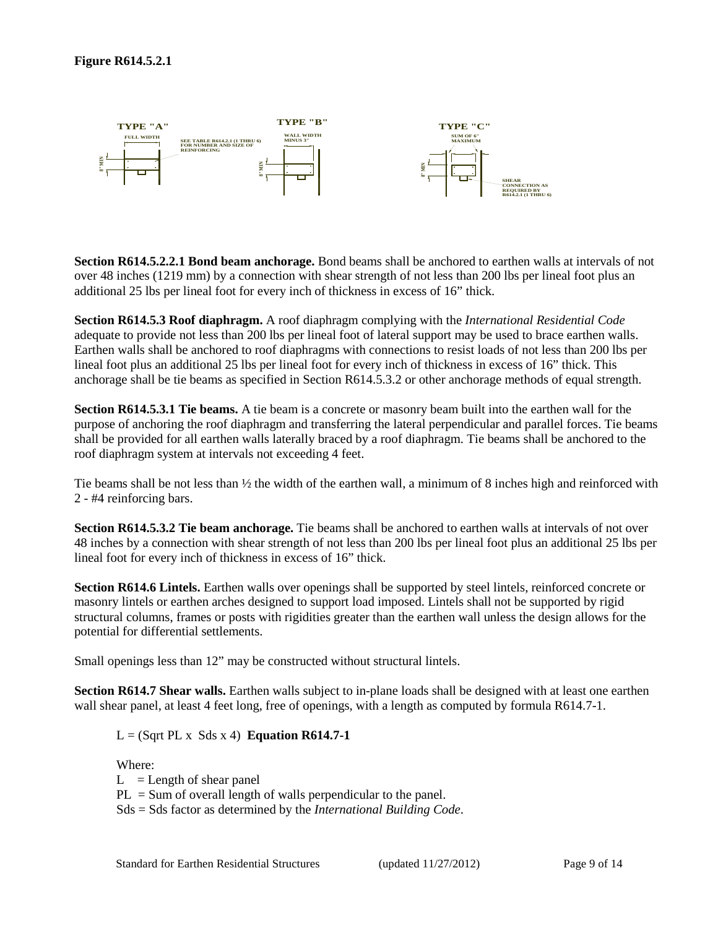

**Section R614.5.2.2.1 Bond beam anchorage.** Bond beams shall be anchored to earthen walls at intervals of not over 48 inches (1219 mm) by a connection with shear strength of not less than 200 lbs per lineal foot plus an additional 25 lbs per lineal foot for every inch of thickness in excess of 16" thick.

**Section R614.5.3 Roof diaphragm.** A roof diaphragm complying with the *International Residential Code* adequate to provide not less than 200 lbs per lineal foot of lateral support may be used to brace earthen walls. Earthen walls shall be anchored to roof diaphragms with connections to resist loads of not less than 200 lbs per lineal foot plus an additional 25 lbs per lineal foot for every inch of thickness in excess of 16" thick. This anchorage shall be tie beams as specified in Section R614.5.3.2 or other anchorage methods of equal strength.

**Section R614.5.3.1 Tie beams.** A tie beam is a concrete or masonry beam built into the earthen wall for the purpose of anchoring the roof diaphragm and transferring the lateral perpendicular and parallel forces. Tie beams shall be provided for all earthen walls laterally braced by a roof diaphragm. Tie beams shall be anchored to the roof diaphragm system at intervals not exceeding 4 feet.

Tie beams shall be not less than  $\frac{1}{2}$  the width of the earthen wall, a minimum of 8 inches high and reinforced with 2 - #4 reinforcing bars.

**Section R614.5.3.2 Tie beam anchorage.** Tie beams shall be anchored to earthen walls at intervals of not over 48 inches by a connection with shear strength of not less than 200 lbs per lineal foot plus an additional 25 lbs per lineal foot for every inch of thickness in excess of 16" thick.

**Section R614.6 Lintels.** Earthen walls over openings shall be supported by steel lintels, reinforced concrete or masonry lintels or earthen arches designed to support load imposed. Lintels shall not be supported by rigid structural columns, frames or posts with rigidities greater than the earthen wall unless the design allows for the potential for differential settlements.

Small openings less than 12" may be constructed without structural lintels.

**Section R614.7 Shear walls.** Earthen walls subject to in-plane loads shall be designed with at least one earthen wall shear panel, at least 4 feet long, free of openings, with a length as computed by formula R614.7-1.

 $L = (Sqrt PL \times Sds \times 4)$  **Equation R614.7-1** 

Where:

 $L =$ Length of shear panel

PL = Sum of overall length of walls perpendicular to the panel.

Sds = Sds factor as determined by the *International Building Code*.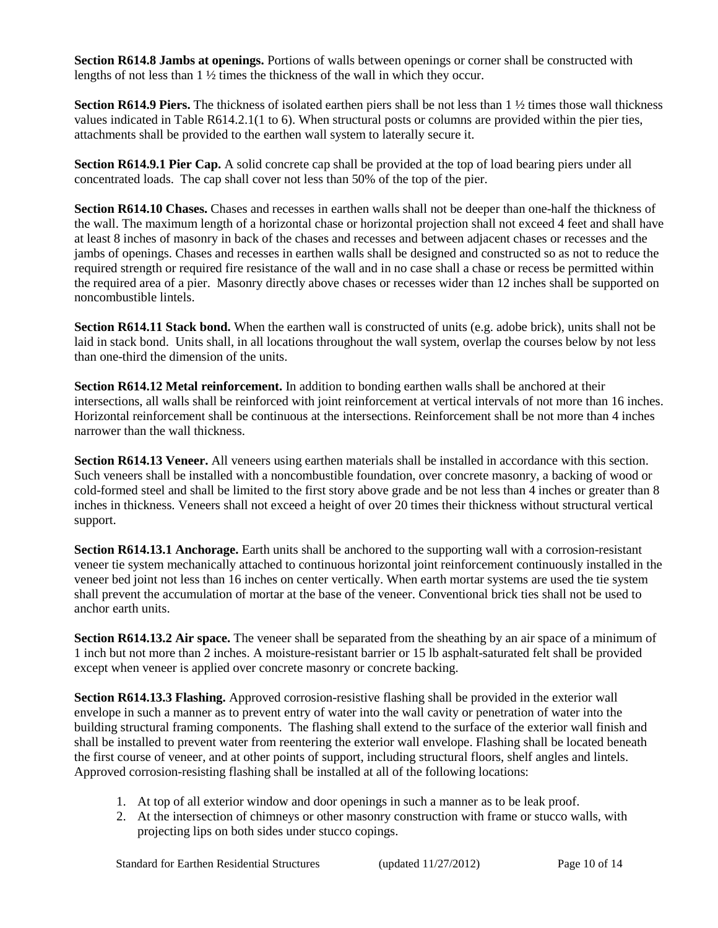**Section R614.8 Jambs at openings.** Portions of walls between openings or corner shall be constructed with lengths of not less than 1 ½ times the thickness of the wall in which they occur.

**Section R614.9 Piers.** The thickness of isolated earthen piers shall be not less than 1 ½ times those wall thickness values indicated in Table R614.2.1(1 to 6). When structural posts or columns are provided within the pier ties, attachments shall be provided to the earthen wall system to laterally secure it.

**Section R614.9.1 Pier Cap.** A solid concrete cap shall be provided at the top of load bearing piers under all concentrated loads. The cap shall cover not less than 50% of the top of the pier.

**Section R614.10 Chases.** Chases and recesses in earthen walls shall not be deeper than one-half the thickness of the wall. The maximum length of a horizontal chase or horizontal projection shall not exceed 4 feet and shall have at least 8 inches of masonry in back of the chases and recesses and between adjacent chases or recesses and the jambs of openings. Chases and recesses in earthen walls shall be designed and constructed so as not to reduce the required strength or required fire resistance of the wall and in no case shall a chase or recess be permitted within the required area of a pier. Masonry directly above chases or recesses wider than 12 inches shall be supported on noncombustible lintels.

**Section R614.11 Stack bond.** When the earthen wall is constructed of units (e.g. adobe brick), units shall not be laid in stack bond. Units shall, in all locations throughout the wall system, overlap the courses below by not less than one-third the dimension of the units.

**Section R614.12 Metal reinforcement.** In addition to bonding earthen walls shall be anchored at their intersections, all walls shall be reinforced with joint reinforcement at vertical intervals of not more than 16 inches. Horizontal reinforcement shall be continuous at the intersections. Reinforcement shall be not more than 4 inches narrower than the wall thickness.

**Section R614.13 Veneer.** All veneers using earthen materials shall be installed in accordance with this section. Such veneers shall be installed with a noncombustible foundation, over concrete masonry, a backing of wood or cold-formed steel and shall be limited to the first story above grade and be not less than 4 inches or greater than 8 inches in thickness. Veneers shall not exceed a height of over 20 times their thickness without structural vertical support.

**Section R614.13.1 Anchorage.** Earth units shall be anchored to the supporting wall with a corrosion-resistant veneer tie system mechanically attached to continuous horizontal joint reinforcement continuously installed in the veneer bed joint not less than 16 inches on center vertically. When earth mortar systems are used the tie system shall prevent the accumulation of mortar at the base of the veneer. Conventional brick ties shall not be used to anchor earth units.

**Section R614.13.2 Air space.** The veneer shall be separated from the sheathing by an air space of a minimum of 1 inch but not more than 2 inches. A moisture-resistant barrier or 15 lb asphalt-saturated felt shall be provided except when veneer is applied over concrete masonry or concrete backing.

**Section R614.13.3 Flashing.** Approved corrosion-resistive flashing shall be provided in the exterior wall envelope in such a manner as to prevent entry of water into the wall cavity or penetration of water into the building structural framing components. The flashing shall extend to the surface of the exterior wall finish and shall be installed to prevent water from reentering the exterior wall envelope. Flashing shall be located beneath the first course of veneer, and at other points of support, including structural floors, shelf angles and lintels. Approved corrosion-resisting flashing shall be installed at all of the following locations:

- 1. At top of all exterior window and door openings in such a manner as to be leak proof.
- 2. At the intersection of chimneys or other masonry construction with frame or stucco walls, with projecting lips on both sides under stucco copings.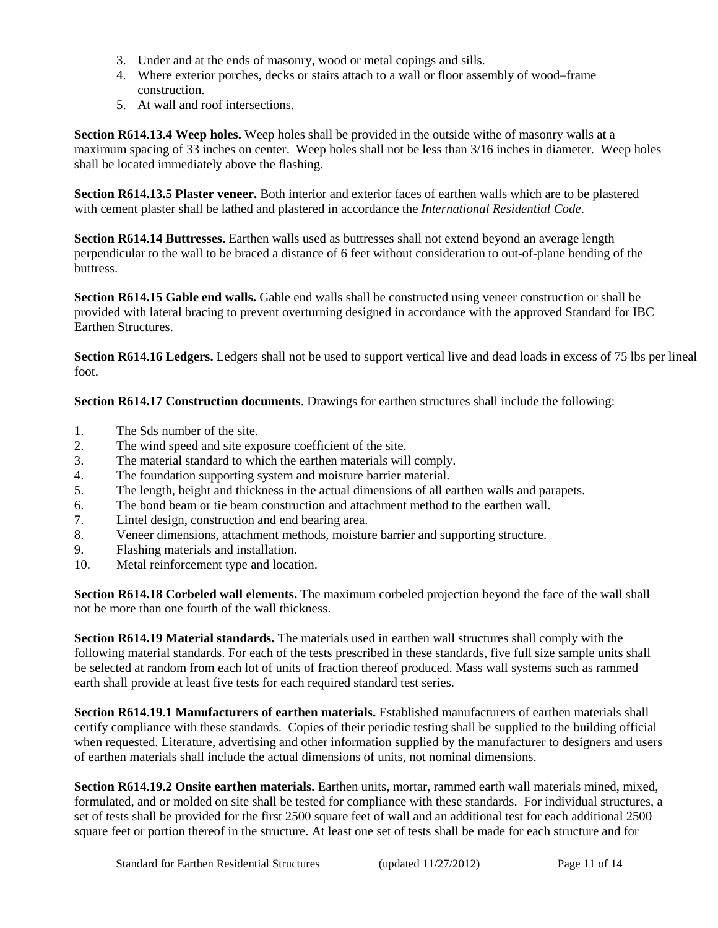- 3. Under and at the ends of masonry, wood or metal copings and sills.
- 4. Where exterior porches, decks or stairs attach to a wall or floor assembly of wood–frame construction.
- 5. At wall and roof intersections.

**Section R614.13.4 Weep holes.** Weep holes shall be provided in the outside withe of masonry walls at a maximum spacing of 33 inches on center. Weep holes shall not be less than 3/16 inches in diameter. Weep holes shall be located immediately above the flashing.

**Section R614.13.5 Plaster veneer.** Both interior and exterior faces of earthen walls which are to be plastered with cement plaster shall be lathed and plastered in accordance the *International Residential Code*.

**Section R614.14 Buttresses.** Earthen walls used as buttresses shall not extend beyond an average length perpendicular to the wall to be braced a distance of 6 feet without consideration to out-of-plane bending of the buttress.

**Section R614.15 Gable end walls.** Gable end walls shall be constructed using veneer construction or shall be provided with lateral bracing to prevent overturning designed in accordance with the approved Standard for IBC Earthen Structures.

**Section R614.16 Ledgers.** Ledgers shall not be used to support vertical live and dead loads in excess of 75 lbs per lineal foot.

**Section R614.17 Construction documents**. Drawings for earthen structures shall include the following:

- 1. The Sds number of the site.
- 2. The wind speed and site exposure coefficient of the site.
- 3. The material standard to which the earthen materials will comply.
- 4. The foundation supporting system and moisture barrier material.
- 5. The length, height and thickness in the actual dimensions of all earthen walls and parapets.
- 6. The bond beam or tie beam construction and attachment method to the earthen wall.
- 7. Lintel design, construction and end bearing area.
- 8. Veneer dimensions, attachment methods, moisture barrier and supporting structure.
- 9. Flashing materials and installation.
- 10. Metal reinforcement type and location.

**Section R614.18 Corbeled wall elements.** The maximum corbeled projection beyond the face of the wall shall not be more than one fourth of the wall thickness.

**Section R614.19 Material standards.** The materials used in earthen wall structures shall comply with the following material standards. For each of the tests prescribed in these standards, five full size sample units shall be selected at random from each lot of units of fraction thereof produced. Mass wall systems such as rammed earth shall provide at least five tests for each required standard test series.

**Section R614.19.1 Manufacturers of earthen materials.** Established manufacturers of earthen materials shall certify compliance with these standards. Copies of their periodic testing shall be supplied to the building official when requested. Literature, advertising and other information supplied by the manufacturer to designers and users of earthen materials shall include the actual dimensions of units, not nominal dimensions.

**Section R614.19.2 Onsite earthen materials.** Earthen units, mortar, rammed earth wall materials mined, mixed, formulated, and or molded on site shall be tested for compliance with these standards. For individual structures, a set of tests shall be provided for the first 2500 square feet of wall and an additional test for each additional 2500 square feet or portion thereof in the structure. At least one set of tests shall be made for each structure and for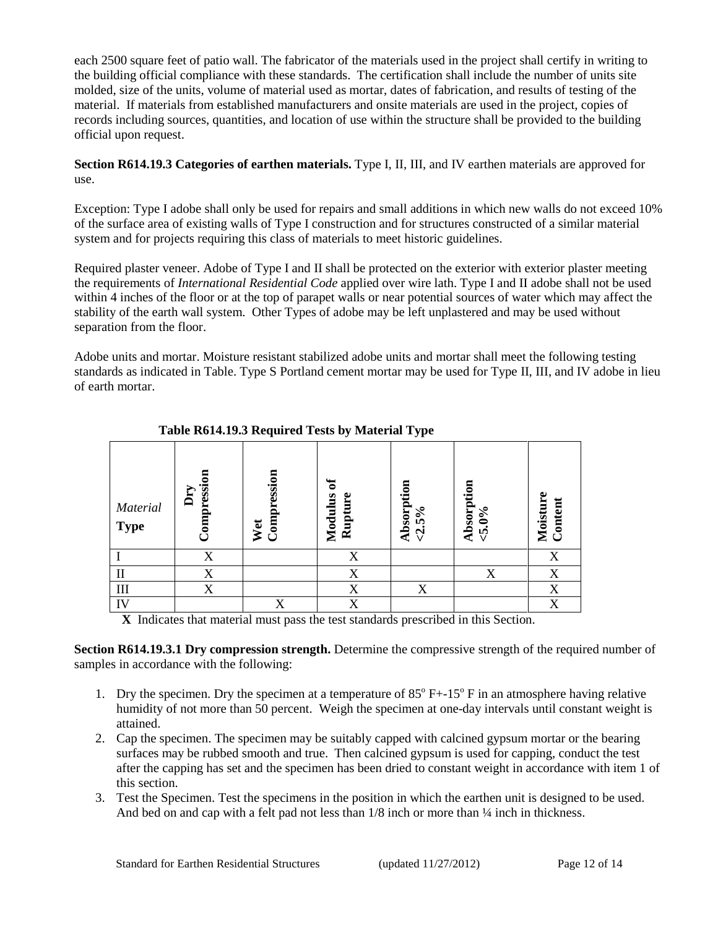each 2500 square feet of patio wall. The fabricator of the materials used in the project shall certify in writing to the building official compliance with these standards. The certification shall include the number of units site molded, size of the units, volume of material used as mortar, dates of fabrication, and results of testing of the material. If materials from established manufacturers and onsite materials are used in the project, copies of records including sources, quantities, and location of use within the structure shall be provided to the building official upon request.

**Section R614.19.3 Categories of earthen materials.** Type I, II, III, and IV earthen materials are approved for use.

Exception: Type I adobe shall only be used for repairs and small additions in which new walls do not exceed 10% of the surface area of existing walls of Type I construction and for structures constructed of a similar material system and for projects requiring this class of materials to meet historic guidelines.

Required plaster veneer. Adobe of Type I and II shall be protected on the exterior with exterior plaster meeting the requirements of *International Residential Code* applied over wire lath. Type I and II adobe shall not be used within 4 inches of the floor or at the top of parapet walls or near potential sources of water which may affect the stability of the earth wall system. Other Types of adobe may be left unplastered and may be used without separation from the floor.

Adobe units and mortar. Moisture resistant stabilized adobe units and mortar shall meet the following testing standards as indicated in Table. Type S Portland cement mortar may be used for Type II, III, and IV adobe in lieu of earth mortar.

| $\frac{1}{2}$ and $\frac{1}{2}$ and $\frac{1}{2}$ and $\frac{1}{2}$ and $\frac{1}{2}$ and $\frac{1}{2}$ and $\frac{1}{2}$ and $\frac{1}{2}$ and $\frac{1}{2}$ and $\frac{1}{2}$ and $\frac{1}{2}$ and $\frac{1}{2}$ and $\frac{1}{2}$ and $\frac{1}{2}$ and $\frac{1}{2}$ and $\frac{1}{2}$ a |                    |                       |                    |                           |                                             |                          |
|-----------------------------------------------------------------------------------------------------------------------------------------------------------------------------------------------------------------------------------------------------------------------------------------------|--------------------|-----------------------|--------------------|---------------------------|---------------------------------------------|--------------------------|
| Material<br><b>Type</b>                                                                                                                                                                                                                                                                       | Compression<br>Dry | Compression<br>Wet    | Modulus<br>Rupture | Absorption<br>$-2.5%$     | Absorption<br>$5.0\%$                       | ω<br>Moisture<br>Content |
|                                                                                                                                                                                                                                                                                               | X                  |                       | X                  |                           |                                             | X                        |
| $\rm II$                                                                                                                                                                                                                                                                                      | X                  |                       | X                  |                           | X                                           | X                        |
| $\rm III$                                                                                                                                                                                                                                                                                     | X                  |                       | X                  | X                         |                                             | X                        |
| IV                                                                                                                                                                                                                                                                                            |                    | X                     | X                  |                           |                                             | X                        |
| $ -$<br>$\rightarrow$                                                                                                                                                                                                                                                                         | <b>CONTRACTOR</b>  | $\cdot$ $\cdot$<br>и. | $\sim$             | $\mathbf{r}$<br>$\cdot$ . | $\cdot$<br>$\cdot$ $\cdot$<br>$\sim$ $\sim$ |                          |

#### **Table R614.19.3 Required Tests by Material Type**

**X** Indicates that material must pass the test standards prescribed in this Section.

**Section R614.19.3.1 Dry compression strength.** Determine the compressive strength of the required number of samples in accordance with the following:

- 1. Dry the specimen. Dry the specimen at a temperature of  $85^{\circ}$  F+-15<sup>o</sup> F in an atmosphere having relative humidity of not more than 50 percent. Weigh the specimen at one-day intervals until constant weight is attained.
- 2. Cap the specimen. The specimen may be suitably capped with calcined gypsum mortar or the bearing surfaces may be rubbed smooth and true. Then calcined gypsum is used for capping, conduct the test after the capping has set and the specimen has been dried to constant weight in accordance with item 1 of this section.
- 3. Test the Specimen. Test the specimens in the position in which the earthen unit is designed to be used. And bed on and cap with a felt pad not less than  $1/8$  inch or more than  $\frac{1}{4}$  inch in thickness.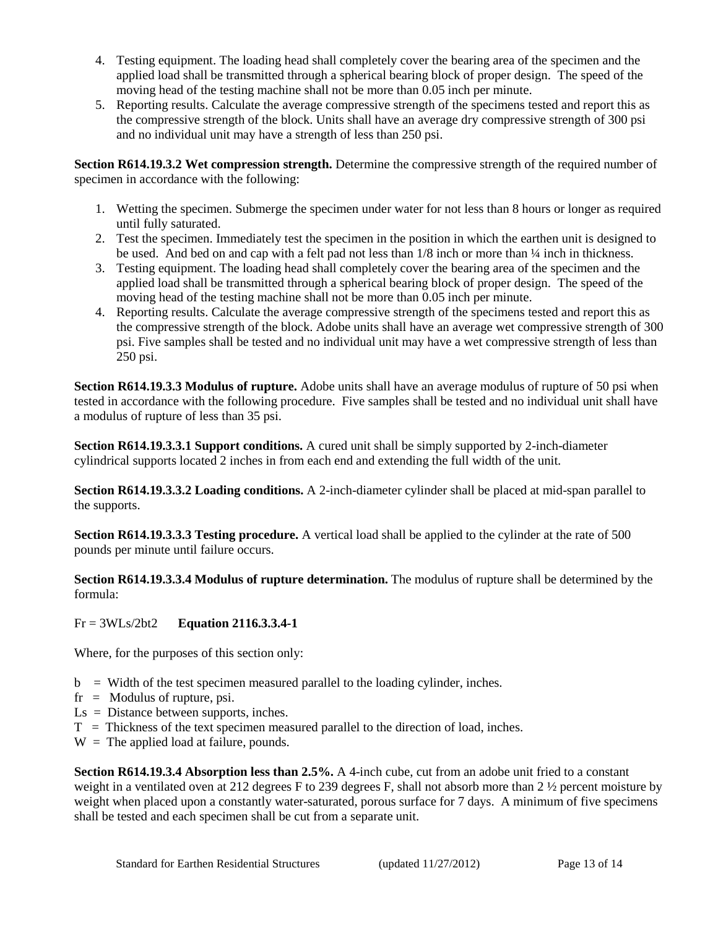- 4. Testing equipment. The loading head shall completely cover the bearing area of the specimen and the applied load shall be transmitted through a spherical bearing block of proper design. The speed of the moving head of the testing machine shall not be more than 0.05 inch per minute.
- 5. Reporting results. Calculate the average compressive strength of the specimens tested and report this as the compressive strength of the block. Units shall have an average dry compressive strength of 300 psi and no individual unit may have a strength of less than 250 psi.

**Section R614.19.3.2 Wet compression strength.** Determine the compressive strength of the required number of specimen in accordance with the following:

- 1. Wetting the specimen. Submerge the specimen under water for not less than 8 hours or longer as required until fully saturated.
- 2. Test the specimen. Immediately test the specimen in the position in which the earthen unit is designed to be used. And bed on and cap with a felt pad not less than 1/8 inch or more than ¼ inch in thickness.
- 3. Testing equipment. The loading head shall completely cover the bearing area of the specimen and the applied load shall be transmitted through a spherical bearing block of proper design. The speed of the moving head of the testing machine shall not be more than 0.05 inch per minute.
- 4. Reporting results. Calculate the average compressive strength of the specimens tested and report this as the compressive strength of the block. Adobe units shall have an average wet compressive strength of 300 psi. Five samples shall be tested and no individual unit may have a wet compressive strength of less than 250 psi.

**Section R614.19.3.3 Modulus of rupture.** Adobe units shall have an average modulus of rupture of 50 psi when tested in accordance with the following procedure. Five samples shall be tested and no individual unit shall have a modulus of rupture of less than 35 psi.

**Section R614.19.3.3.1 Support conditions.** A cured unit shall be simply supported by 2-inch-diameter cylindrical supports located 2 inches in from each end and extending the full width of the unit.

**Section R614.19.3.3.2 Loading conditions.** A 2-inch-diameter cylinder shall be placed at mid-span parallel to the supports.

**Section R614.19.3.3.3 Testing procedure.** A vertical load shall be applied to the cylinder at the rate of 500 pounds per minute until failure occurs.

**Section R614.19.3.3.4 Modulus of rupture determination.** The modulus of rupture shall be determined by the formula:

## Fr = 3WLs/2bt2 **Equation 2116.3.3.4-1**

Where, for the purposes of this section only:

- $b =$  Width of the test specimen measured parallel to the loading cylinder, inches.
- $fr =$  Modulus of rupture, psi.
- Ls = Distance between supports, inches.
- $T =$  Thickness of the text specimen measured parallel to the direction of load, inches.
- $W =$ The applied load at failure, pounds.

**Section R614.19.3.4 Absorption less than 2.5%.** A 4-inch cube, cut from an adobe unit fried to a constant weight in a ventilated oven at 212 degrees F to 239 degrees F, shall not absorb more than 2 ½ percent moisture by weight when placed upon a constantly water-saturated, porous surface for 7 days. A minimum of five specimens shall be tested and each specimen shall be cut from a separate unit.